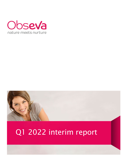



# Q1 2022 interim report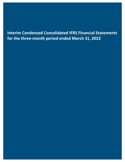### **Interim Condensed Consolidated IFRS Financial Statements for the three-month period ended March 31, 2022**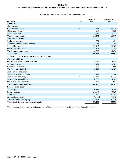#### **Interim Condensed Consolidated IFRS Financial Statements for the three-month period ended March 31, 2022**

#### **Unaudited Condensed Consolidated Balance Sheets**

| $(in$ USD '000)                             | <b>Notes</b>   | March 31,<br>2022 | December 31,<br>2021 |
|---------------------------------------------|----------------|-------------------|----------------------|
| <b>ASSETS</b>                               |                |                   |                      |
| <b>Current assets</b>                       |                |                   |                      |
| Cash and cash equivalents                   | $\overline{4}$ | 57,553            | 54,734               |
| Other receivables                           |                | 953               | 3,560                |
| Prepaid expenses                            |                | 5,756             | 5,223                |
| <b>Total current assets</b>                 |                | 64,262            | 63,517               |
| <b>Non-current assets</b>                   |                |                   |                      |
| Right-of-use assets                         |                | 521               | 625                  |
| Furniture, fixtures and equipment           |                | 63                | 58                   |
| Intangible assets                           | 5              | 23,903            | 24,503               |
| Other long-term assets                      |                | 395               | 288                  |
| <b>Total non-current assets</b>             |                | 24,882            | 25,474               |
| <b>Total assets</b>                         |                | 89,144            | 88,991               |
| <b>LIABILITIES AND SHAREHOLDERS' EQUITY</b> |                |                   |                      |
| <b>Current liabilities</b>                  |                |                   |                      |
| Other payables and current liabilities      |                | 4,734             | 9,038                |
| Accrued expenses                            |                | 15,421            | 13,783               |
| Current lease liabilities                   |                | 624               | 686                  |
| <b>Total current liabilities</b>            |                | 20,779            | 23,507               |
| <b>Non-current liabilities</b>              |                |                   |                      |
| Non-current lease liabilities               |                | 119               | 240                  |
| Non-current borrowings                      | 6              | 33,134            | 25,733               |
| Post-employment obligations                 |                | 6,563             | 6,581                |
| Other long-term liabilities                 |                | 584               | 591                  |
| <b>Total non-current liabilities</b>        |                | 40,400            | 33,145               |
| Shareholders' equity                        |                |                   |                      |
| Share capital                               |                | 6,812             | 6,489                |
| Share premium                               |                | 436,694           | 430,630              |
| Reserves                                    |                | 33,236            | 32,195               |
| Accumulated losses                          |                | (448, 777)        | (436, 975)           |
| <b>Total shareholders' equity</b>           | $\overline{7}$ | 27,965            | 32,339               |
| Total liabilities and shareholders' equity  |                | 89,144            | 88,991               |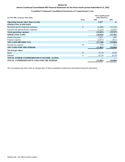#### **Interim Condensed Consolidated IFRS Financial Statements for the three-month period ended March 31, 2022**

#### **Unaudited Condensed Consolidated Statements of Comprehensive Loss**

| (in USD '000, except per share data)             |              | Three-month period<br>ended March 31, |           |
|--------------------------------------------------|--------------|---------------------------------------|-----------|
|                                                  | <b>Notes</b> | 2022                                  | 2021      |
| Operating income other than revenue              |              | 2,237                                 | 6         |
| <b>OPERATING EXPENSES</b>                        |              |                                       |           |
| Research and development expenses                | 9            | (5,608)                               | (15,516)  |
| General and administrative expenses              |              | (7,233)                               | (4,191)   |
| <b>Total operating expenses</b>                  |              | (12, 841)                             | (19,707)  |
| <b>OPERATING LOSS</b>                            |              | (10, 604)                             | (19,701)  |
| Finance income                                   |              | 1,933                                 | 629       |
| Finance expense                                  |              | (3,077)                               | (911)     |
| <b>NET LOSS BEFORE TAX</b>                       |              | (11,748)                              | (19,983)  |
| Income tax expense                               | 10           | (53)                                  | (21)      |
| <b>NET LOSS FOR THE PERIOD</b>                   |              | (11, 801)                             | (20, 004) |
| Net loss per share                               |              |                                       |           |
| Basic                                            | 11           | (0.14)                                | (0.29)    |
| Diluted                                          | 11           | (0.14)                                | (0.29)    |
| <b>TOTAL OTHER COMPREHENSIVE INCOME / (LOSS)</b> |              |                                       |           |
| <b>TOTAL COMPREHENSIVE LOSS FOR THE PERIOD</b>   |              | (11, 801)                             | (20, 004) |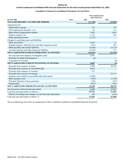#### **Interim Condensed Consolidated IFRS Financial Statements for the three-month period ended March 31, 2022**

#### **Unaudited Condensed Consolidated Statements of Cash Flows**

|                                                               |              |           | Three-month period<br>ended March 31, |
|---------------------------------------------------------------|--------------|-----------|---------------------------------------|
| $(in$ USD $'000)$                                             | <b>Notes</b> | 2022      | 2021                                  |
| NET LOSS BEFORE TAX FOR THE PERIOD                            |              | (11, 748) | (19,982)                              |
| Adjustments for:                                              |              |           |                                       |
| Depreciation expense                                          |              | 115       | 178                                   |
| Post-employment (benefit) / cost                              |              | 64        | 115                                   |
| Share-based compensation expense                              |              | 1,041     | 2,019                                 |
| Finance expense, net                                          |              | 1,143     | 282                                   |
| Other operating income                                        |              | (2,237)   |                                       |
| Changes in operating assets and liabilities:                  |              |           |                                       |
| Other receivables                                             |              | 2,607     | 11                                    |
| Prepaid expenses, deferred costs and other long-term assets   |              | (534)     | 782                                   |
| Other payables and current liabilities                        |              | (4,366)   | (5,113)                               |
| Accrued expenses and other long-term liabilities              |              | (1, 336)  | 373                                   |
| NET CASH FLOWS USED IN OPERATING ACTIVITIES                   |              | (15,251)  | (21, 335)                             |
| Net proceeds from disposal of intangible assets               |              | 5,691     |                                       |
| Payments for plant and equipment                              |              | (4)       |                                       |
| Acquisition of a license                                      |              |           | (4)                                   |
| NET CASH FLOWS USED IN INVESTING ACTIVITIES                   |              | 5,687     | (4)                                   |
| Proceeds from issuance of shares                              |              | 5,664     | 38,339                                |
| Proceeds from issuance of convertible debt                    |              | 8,610     |                                       |
| Proceeds from issuance of warrants                            |              | 915       |                                       |
| Proceeds from exercise of warrants                            |              |           | 22,117                                |
| Issuance costs related to convertible debt and warrant        |              | (1,696)   |                                       |
| Share issuance costs                                          |              | (196)     | (1,358)                               |
| Principal elements of lease payments                          |              | (176)     | (167)                                 |
| Interest paid                                                 |              | (927)     | (561)                                 |
| NET CASH FLOWS FROM FINANCING ACTIVITIES                      |              | 12,194    | 58,370                                |
| Net increase in cash and cash equivalents                     |              | 2,630     | 37,031                                |
| Cash and cash equivalents at January 1,                       |              | 54,734    | 31,183                                |
| Effects of exchange rate changes on cash and cash equivalents |              | 189       | (216)                                 |
| Cash and cash equivalents at March 31,                        |              | 57,553    | 67,998                                |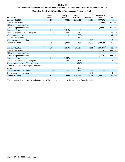#### **Interim Condensed Consolidated IFRS Financial Statements for the three-month period ended March 31, 2022**

#### **Unaudited Condensed Consolidated Statements of Changes in Equity**

| $(in$ USD $'000)$                            | <b>Share</b><br>capital | <b>Treasury</b><br>shares | <b>Share</b><br>premium | <b>Reserves</b> | <b>Accumulated</b><br>losses | <b>Total</b> |
|----------------------------------------------|-------------------------|---------------------------|-------------------------|-----------------|------------------------------|--------------|
| <b>January 1, 2021</b>                       | 4,878                   | (304)                     | 356,822                 | 26,353          | (379, 395)                   | 8,354        |
| Loss for the period                          |                         |                           |                         |                 | (20,004)                     | (20,004)     |
| Other comprehensive loss                     |                         |                           |                         |                 |                              |              |
| <b>Total comprehensive loss</b>              |                         |                           |                         |                 | (20, 004)                    | (20, 004)    |
| Issuance of treasury shares                  | 1,515                   | (1,515)                   | $\Omega$                |                 |                              |              |
| Issuance of shares - ATM program             | $\theta$                | 882                       | 37,457                  |                 |                              | 38,339       |
| Share issuance costs                         |                         | $\boldsymbol{0}$          | (1,358)                 |                 |                              | (1,358)      |
| Exercise of warrants                         | 555                     |                           | 21,562                  |                 |                              | 22,117       |
| Share-based remuneration                     |                         |                           |                         | 2,019           |                              | 2,019        |
| March 31, 2021                               | 6,948                   | (938)                     | 414,483                 | 28,373          | (399, 399)                   | 49,467       |
|                                              |                         |                           |                         |                 |                              |              |
| <b>January 1, 2022</b>                       | 6,948                   | (459)                     | 430,629                 | 32,196          | (436, 976)                   | 32,338       |
| Loss for the period                          |                         |                           |                         |                 | (11, 801)                    | (11, 801)    |
| Other comprehensive loss                     |                         |                           |                         |                 |                              |              |
| <b>Total comprehensive loss</b>              |                         |                           |                         |                 | (11, 801)                    | (11, 801)    |
| Issuance of treasury shares                  | 1,947                   | (1, 947)                  |                         |                 |                              |              |
| Issuance of shares - ATM program             |                         | 323                       | 5,341                   |                 |                              | 5,664        |
| Share issuance costs - ATM program           |                         |                           | (196)                   |                 |                              | (196)        |
| Value of the conversion rights - convertible |                         |                           |                         |                 |                              |              |
| notes                                        |                         |                           | 198                     |                 |                              | 198          |
| Reclassification of warrants                 |                         |                           | 722                     |                 |                              | 722          |
| Share-based remuneration                     |                         |                           |                         | 1,040           |                              | 1,040        |
| <b>March 31, 2022</b>                        | 8,895                   | (2,083)                   | 436,694                 | 33,236          | (448, 777)                   | 27,965       |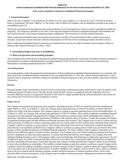#### **Interim Condensed Consolidated IFRS Financial Statements for the three-month period ended March 31, 2022**

#### **Notes to the Unaudited Condensed Consolidated Financial Statements**

#### **1. General information**

ObsEva SA (the "Company") was founded on November 14, 2012, and its address is 12 Chemin des Aulx, 1228 Plan-les-Ouates, Geneva, Switzerland. The terms "ObsEva" or "the Group" refer to ObsEva SA together with its subsidiaries included in the scope of consolidation (note 2.3).

The Group is focused on the development and commercialization of novel therapeutics to improve women's reproductive health and pregnancy. The Group has a portfolio of two mid- to late-stage development in-licensed compounds (linzagolix and nolasiban) and one out-licensed mid- to late-stage development product (ebopiprant). The Group has no currently marketed products.

These condensed consolidated financial statements are presented in dollars of the United States (USD), rounded to the nearest thousand, except share and per share data, and have been prepared on the basis of the accounting principles described in note 2.

These condensed consolidated financial statements were authorized for issue by the Audit Committee of the Company's Board of Directors (the "Board of Directors") on May 3, 2022.

#### **2. Accounting principles and scope of consolidation**

#### **2.1 Basis of preparation and accounting principles**

These unaudited three-month interim condensed consolidated financial statements (the "condensed consolidated financial statements") are prepared in accordance with International Accounting Standard ("IAS") 34 *Interim Financial Reporting* as issued by the International Accounting Standards Board (the "IASB").

#### *Accounting policies*

Accounting policies used in the preparation and presentation of these condensed consolidated financial statements are consistent with those used in the consolidated financial statements for the year ended December 31, 2021 (the "annual financial statements"), which should be read in conjunction with these condensed consolidated financial statements as they provide an update of previously reported information.

#### *Revenue*

Revenue includes royalty and milestone income from the out-licensing of intellectual property when ObsEva retains an interest in the intellectual property through a license. Royalty income earned through a license is recognized when the underlying sales have occurred. Milestone income is recognized at the point in time when it is highly probable that the relevant milestone event criteria are met, and the risk of reversal of revenue recognition is remote.

#### *Going concern*

The Company has incurred recurring losses since inception, including net losses of USD 11.8 million for the three-month period ended March 31, 2022. As of March 31, 2022, the Company had accumulated losses of USD 479.6 million, of which USD 30.6 million were offset with share premium. The Company expects to continue to generate operating losses for the foreseeable future. As of March 31, 2022, the Company had cash and cash equivalents of USD 57.6 million. These interim condensed consolidated financial statements have been prepared assuming that the Company will continue as a going concern which contemplates the continuity of operations, realization of assets and the satisfaction of liabilities in the ordinary course of business. To date, the Company has funded its operations through equity and debt offerings and through payments from licensors. The Company believes that its current cash and cash equivalents are sufficient to fund its operating expenses into the fourth quarter of 2022 and this raises substantial doubt about the Company's ability to continue as a going concern. These factors individually and collectively indicate that a material uncertainty exists that may cast significant doubt about the Company's ability to continue as a going concern within one year from the date of the issuance of these unaudited condensed consolidated financial statements. The future viability of the Company is dependent on its ability to raise additional capital to finance its future operations. The Company may receive future milestone payments from licensors but that is dependent on achieving certain regulatory or commercial milestones that may never happen. The Company may seek additional funding through its active ATM program, public or private financings, debt financing or collaboration agreements. The sale of additional equity may dilute existing shareholders and newly issued shares may contain senior rights and preferences compared to currently outstanding common shares. Issued debt securities may contain covenants and limit the Company's ability to pay dividends or make other distributions to shareholders. The inability to obtain funding, as and when needed, would have a negative impact on the Company's financial condition and ability to pursue its business strategies. If the Company is unable to obtain the required funding to run its operations and to develop and commercialize its product candidates, the Company could be forced to delay, reduce or eliminate some or all of its research and development programs, product portfolio expansion or commercialization efforts, which could adversely affect its business prospects, or the Company may be unable to continue operations. Management continues to explore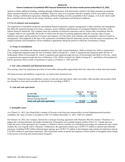#### **Interim Condensed Consolidated IFRS Financial Statements for the three-month period ended March 31, 2022**

options to obtain additional funding, including through collaborations with third parties related to the future potential development and/or commercialization of its product candidates. However, there is no assurance that the Company will be successful in raising funds, closing a collaboration agreement, obtaining sufficient funding on terms acceptable to the Company, or if at all, which could have a material adverse effect on the Group's business, results of operations and financial conditions.

#### **2.2 Use of estimates and assumptions**

The preparation of unaudited condensed consolidated financial statements requires management to make estimates and assumptions that affect the reported amounts of revenues, expenses, assets, liabilities and disclosure of contingent liabilities at the date of the interim financial statements. The Company bases the estimates on historical experience and on various other assumptions that the Company believes are reasonable, the results of which form the basis for making judgments about the carrying value of assets, liabilities and equity and the amount of revenues and expenses. If in the future such estimates and assumptions, which are based on management's best judgment at the date of the condensed consolidated financial statements, deviate from the actual circumstances, the original estimates and assumptions will be modified as appropriate during the period in which the circumstances change.

#### **2.3 Scope of consolidation**

The Company consolidates the financial operations of its four fully-owned subsidiaries, ObsEva Ireland Ltd, which is registered in Cork, Ireland and organized under the laws of Ireland, ObsEva Europe B.V., which is registered and organized under the laws of Netherlands, ObsEva Switzerland SA, which is registered and organized under the laws of Switzerland, and ObsEva USA Inc., which is registered and organized under the laws of Delaware, USA. ObsEva Ireland Ltd, ObsEva Europe B.V., and ObsEva Switzerland SA had no operations and no results of operations to report as of March 31, 2022 and 2021.

#### **3. Fair value estimation and financial instruments**

The carrying value less impairment provision of receivables and payables approximate their fair values due to their short-term nature.

All financial assets and liabilities, respectively, are held at their amortized cost.

The Group's financial assets and liabilities consist of cash and cash equivalents, other receivables, other payables and accruals which are classified as loans and receivables at amortized cost according to IFRS 9.

#### **4. Cash and cash equivalents**

| (in USD '000)                   | March 31,<br>2022 | December 31,<br>2021 |
|---------------------------------|-------------------|----------------------|
| Bank deposits                   | 57.553            | 54.734               |
| Interest bearing deposits       |                   |                      |
| Total cash and cash equivalents | 57,553            | 54,734               |

#### **5. Intangible assets**

As of March 31, 2022, the Group holds a number of licenses to develop and commercialize several biopharmaceutical product candidates, the value of which is recorded at USD 23.9 million (December 31, 2021: USD 24.5 million)

On February 10, 2022, the Company entered into a strategic licensing agreement with Theramex HQ UK Limited ("Theramex") to support the commercialization and market introduction of linzagolix across global markets outside of the U.S., Canada and Asia. Under the terms of the agreement, the Company is entitled to receive royalties of a mid-thirties percentage on commercial sales, which includes the cost of goods sold to Theramex. Furthermore, the agreement contains up to EUR72.75 million in upfront and milestone payments, including EUR5 million obtained upon signing, up to EUR13.75 million in development and commercial milestones and up to EUR54 million in sales-based milestones. This transaction results in partial derecognition of \$0.6 million of intangible assets related to the license to develop and commercialize linzagolix.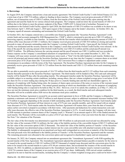#### **Interim Condensed Consolidated IFRS Financial Statements for the three-month period ended March 31, 2022**

#### **6. Borrowings**

In August 2019, the Company entered into a loan and security agreement ("the Oxford Credit Facility") with Oxford Finance LLC for a term loan of up to USD 75.0 million, subject to funding in three tranches. The Company received gross proceeds of USD 25.0 million, net of transaction costs of USD 0.3 million, from the first tranche of the Oxford Credit Facility upon entering into the agreement and used the funds for its various clinical trials programs. The Company could not draw the second tranche of USD 25.0 million due to the failure to meet the primary endpoint of the Phase 3 IMPLANT 4 clinical trial of nolasiban. Pursuant to an amendment to the Oxford Credit Facility signed in April 2020, the third tranche of USD 25.0 million was available to be drawn at any time between April 7, 2020 and August 1, 2024 upon request of the Company and at the lender's discretion. In October 2021, the Company repaid all amounts outstanding and terminated the Oxford Credit Facility.

In October 2021, the Company entered into a convertible note financing agreement (the "Securities Purchase Agreement") with certain funds and accounts managed by JGB Management Inc. ("JGB"), which is structured to provide up to USD 135 million in borrowing capacity, available in nine tranches. In connection with the first tranche which included a borrowing amount of USD 31.5 million (offer issue discount of USD 1.5 million), the Company received gross proceeds of USD 30.0 million at closing and used the proceeds to repay all amounts outstanding under the Company's existing Oxford Credit Facility. Upon payoff, the Oxford Credit Facility was terminated and the security interests in the Company's assets that secured the Oxford Credit Facility were released. At the time of the payoff, the carrying amount of the Oxford Credit Facility was USD 25.6 million and the actual payoff amount was USD27.0 million. The difference between the carrying amount and the payoff amount was USD 1.4 million and was recorded in finance expense on the Company's consolidated statement of comprehensive loss for the year ended December 31, 2021. The Company will issue senior secured convertible promissory notes (each, a "Note") for the debt funded at each tranche. Holders may convert all principal and interest under the Securities Purchase Agreement at any time into the Company's common shares at an initial conversion price of \$3.20 per share (the "Conversion Price"). The Conversion Price is subject to adjustment under certain circumstances in accordance with the terms of the Note Agreement. The Securities Purchase Agreement provides for the Company to potentially receive gross proceeds of USD 16.725 million from the third tranche and USD 13.125 million from each remaining tranche thereafter.

We are able to potentially receive gross proceeds of \$16.725 million from the third tranche and \$13.125 million from each remaining tranche thereafter pursuant to the Securities Purchase Agreement. The third tranche will be funded in May 2022 and each subsequent tranche will be funded 90 days after the preceding tranche. The subsequent tranches under the Securities Purchase Agreement will be available subject to us meeting certain conditions, including, among others, that our volume-weighted average price is not below \$3.00 per share for five or more trading days during the 30 days prior to a tranche funding date and that our shareholders approve, for purposes of complying with Nasdaq listing rules, the issuance of shares upon conversion of the notes or exercise of the warrants issued under the Securities Purchase Agreement. Our annual general meeting at which our shareholders will vote for purposes of complying with Nasdaq listing rules is expected to be held on May 18, 2022. However, even if we satisfy this condition, as of May 17, 2022, we have not met the minimum stock price condition for the third tranche; as a result, the third tranche and each subsequent tranche thereafter will not be available unless JGB waives the minimum stock price condition.

The Securities Purchase Agreement is secured by an account control agreement in favor of JGB, and the Company is obligated to maintain a minimum cash amount of USD 25 million in such deposit account, subject to additional incremental increases totaling USD 27.0 million in aggregate depending on the amount of debt outstanding under the Securities Purchase Agreement. Each tranche under the Securities Purchase Agreement will bear interest at a rate of 9.5% per year, payable monthly, and will be issued with an original issue discount of 4.75%. Each tranche under the Securities Purchase Agreement will mature three years from the date of issuance, unless earlier converted or prepaid in accordance with their terms. After payments and deductions for certain transaction costs and offer issue discounts, the effective rate of the Securities Purchase Agreement is 16.2%. At each tranche, the Company will also issue to JGB warrants to purchase common shares of the Company (each, a "Warrant") in an amount equal to 20% of the funded amount for such tranche. The Warrants will be exercisable at a price of \$3.67 per share and will have a four year term from the date of issuance. See Note 7 for valuation of the Warrants.

The fair value of the first tranche was determined to equal the USD 30 million in cash proceeds received and was allocated by using the fair value of the warrants (USD 2.6 million), the fair value of the liability portion of the convertible feature (USD 27.3 million) and the fair value of the conversion option (USD 22 thousand). The initial fair value of the liability portion of Tranche 1 of the Securities Purchase Agreement was determined using a market interest rate for a non-convertible note with attached warrants at the issue date. The liability is subsequently recognized on an amortized cost basis until extinguished on conversion or maturity of the first tranche. The total proceeds were first attributed to the liability portion of Tranche 1 of the Securities Purchase Agreement and the warrants. The remaining proceeds were allocated to the conversion option and recognized in shareholders' equity and not remeasured.

On January 28, 2022, the Company entered into an amendment agreement (the "Amendment Agreement") with JGB regarding the second tranche of the Note Agreement. The Amendment Agreement adjusted the principal balance payable at maturity for the notes to be issued in the second tranche to USD 10.5 million (USD 975 thousand of original issue discount) and the conversion price for the notes to be issued in the second tranche to a price of \$1.66 per common share, and accelerated the issuance of the second tranche to January 28, 2022. In addition, as adjusted pursuant to the Amendment Agreement, the Company issued a warrant to purchase 1,018,716 common shares of the Company at an exercise price of \$1.87 per share. Additionally, JGB waived certain conditions required to be met to fund the second tranche, including that the Company's volume-weighted average price could not be below USD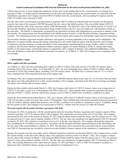#### **Interim Condensed Consolidated IFRS Financial Statements for the three-month period ended March 31, 2022**

3.00 per share for five or more trading days during the 30 days prior to the funding date for the second tranche, in exchange for a payment of USD 1.25 million and the amended terms for the notes and warrants issued in the second tranche. In connection with the Amendment Agreement, the Company received USD 8.25 million from the second tranche, after accounting for expenses and the USD 1.25 million waiver payment to JGB.

The fair value of the second tranche was determined to equal the USD 9.5 million in cash proceeds received and was allocated by using the fair value of the warrants (USD 900 thousand), the fair value of the liability portion of the convertible feature (USD 8.4 million) and the fair value of the conversion option (USD 200 thousand). The initial fair value of the liability portion of Tranche 2 of the Securities Purchase Agreement was determined using a market interest rate for a non-convertible note with attached warrants at the issue date. The liability is subsequently recognized on an amortized cost basis until extinguished on conversion or maturity of the first tranche. The total proceeds were first attributed to the liability portion Tranche 2 of the Securities Purchase Agreement and the warrants. The remaining proceeds were allocated to the conversion option and recognized in shareholders' equity and not remeasured.

The Securities Purchase Agreement includes affirmative and negative covenants applicable to the Company and its subsidiaries. The affirmative covenants include, among other things, requirements to file certain financial reports with the Securities and Exchange Commission, maintain insurance coverage and satisfy certain requirements regarding deposit accounts. Further, subject to certain exceptions, the Securities Purchase Agreement contains customary negative covenants limiting its ability to, among other things, transfer or sell certain assets, consummate mergers or acquisitions, allow changes in business, incur additional indebtedness, create liens, pay dividends or make other distributions and make investments. As of March 31, 2022, the Company was in compliance with its covenants.

#### **7. Shareholders' equity**

#### **Share capital and share premium**

As of March 31, 2022, the total outstanding share capital of USD 6.8 million, fully paid, consists of 83,699,179 common shares, excluding 24,921,292 treasury shares. As of December 31, 2021, the total outstanding share capital of USD 6.5 million, fully paid, consisted of 79,855,268 common shares, excluding 5,265,203 treasury shares. All shares have a nominal value of 1/13 of a Swiss franc, translated into USD using historical rates at the issuance date.

In February 2022, the Company announced the issuance of 23,400,000 common shares at par value of 1/13 of a Swiss franc per share. The shares were fully subscribed for by a fully owned subsidiary of the Company, and listed on the SIX Swiss Exchange accordingly. The shares were initially held as treasury shares.

During the three-months period ended March 31, 2022, the Company sold a total of 3,743,911 treasury shares at an average price of USD \$1.51 per share, as part of its ATM program with SVB Leerink LLC. These multiple daily transactions generated total gross proceeds of USD 5.7 million. Directly related share issuance costs of USD 0.2 million were recorded as a deduction in equity.

During the three-month period ended March 31, 2021, the Company sold a total of 10,406,085 treasury shares at an average price of USD 3.68 per share, as part of its prior and current ATM programs. These multiple daily transactions generated total gross proceeds of USD 38.3 million. Directly related share issuance costs of USD 1.2 million were recorded as a deduction in equity. In addition, during the first quarter of 2021, the Company received proceeds of USD 22.1 million from the exercise of 6,448,240 warrants.

#### **Warrants issued with Securities Purchase Agreement with JGB**

On January 28, 2022, in connection with the second tranche under the Securities Purchase Agreement, the Company issued to JGB a warrant to purchase 1,018,716 common shares of the Company. The warrant has an exercise price of \$1.87 per share. The Company determined the fair value of the warrant on January 28, 2022 using the Black Scholes model by using a risk-free interest rate of 1.78%, an expected term of 3 years, and an implied volatility of 96.5%. The fair value was calculated to be approximately USD 915 thousand on January 28, 2022. This valuation is considered to be Level 2 in the fair value hierarchy. The Company allocated the transaction fees, including the \$1.25 million waiver payment, associated with the Securities Purchase Agreement based on the debt balance and the fair value of the warrant liability on January 28, 2022. The allocation of the transaction fees associated with the warrant liability was USD 163 thousand and was recorded as a period cost and included in finance expense on the statements of comprehensive loss.

Because the warrants were net exercisable until its affiliated registration statement was declared effective, the Company had to revalue the warrant liability on the date of the effective date of the registration statement which was March 1, 2022. The Company revalued the fair value of the warrants on March 1, 2022 using the Black Scholes model by using a risk-free interest rate of 1.72%, an expected term of 3 years, and an implied volatility of 95.8%. The fair value was calculated to be approximately USD 723 thousand on March 1, 2022. The resulting difference in fair values between January 28, 2022 and March 1, 2022 of USD 192 thousand is recorded as a period cost and is included in finance income on the statements of comprehensive loss.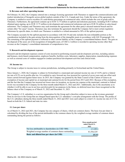#### **Interim Condensed Consolidated IFRS Financial Statements for the three-month period ended March 31, 2022**

#### **8. Revenue and other operating income**

On February 10, 2022, the Company entered into a strategic licensing agreement with Theramex to support the commercialization and market introduction of linzagolix across global markets outside of the U.S., Canada and Asia. Under the terms of the agreement, the Company is entitled to receive royalties of a mid-thirties percentage on commercial sales, which includes the cost of goods sold to Theramex. Furthermore, the agreement contains up to EUR 72.75 million in upfront and milestone payments, including EUR 5 million obtained upon signing, up to EUR 13.75 million in development and commercial milestones and up to EUR 54 million in sales-based milestones. The Company and Theramex may each terminate the agreement for the other party's uncured material breach and for certain other "for cause" reasons. Theramex may also terminate the agreement should the Company fail to meet certain regulatory milestones by specific dates, in which case Theramex is entitled to a refund amounted to 50% of the upfront payment.

The Company accounts for the upfront payment in accordance with IAS 38 and only includes the non-refundable portion as the consideration included in the gain arising from the derecognition of the intangible assets in accordance with IAS 38 paragraph 116. The remaining of the upfront payment is reflected as other current liability on the Company's consolidated balance sheets. The gain on the disposal of the asset, net of de-recognition of intangible asset, of USD 2.2 million is recorded in operating income other than revenue on the Company's consolidated statements of comprehensive loss.

#### **9. Research and development expenses**

Research and development expenses consist of costs incurred in performing research and development activities, including salaries and bonuses, stock-based compensation, employee benefits, facilities costs, laboratory supplies, depreciation, manufacturing expenses as well as external costs of vendors engaged to conduct preclinical development activities and clinical trials.

#### **10. Income tax**

The Group is subject to income taxes in various jurisdictions, including primarily in Switzerland and the United States.

Since January 1, 2020, the Company is subject in Switzerland to a municipal and cantonal income tax rate of 14.0% and to a federal tax rate of 8.5% on its profits after tax. It is entitled to carry forward any loss incurred for a period of seven years and can offset such losses carried forward against future taxes. In 2015, the Company was granted by the State Council of the Canton of Geneva an exemption of income and capital tax at municipal and cantonal levels for the period from 2013 until 2022. Because of this exemption, and the fact that the Company has incurred net losses since its inception, no income tax expense at the municipal, cantonal or federal levels was recorded in the Company for the three-month ended March 31, 2022 and 2021. Additionally, due to the uncertainty as to whether it will be able to use its net loss carryforwards for tax purposes in the future, no deferred taxes have been recognized on the balance sheet of the Company as of March 31, 2022 and December 31, 2021.

The Company's U.S. subsidiary is a service organization for the Group and is therefore subject to taxes on the revenues generated from its services to the Group that are charged based upon the U.S. subsidiary's cost-plus arrangement with the Group. The profits of the U.S. subsidiary during the three-month ended March 31, 2022 and 2021 were each subject to a total U.S. income tax rate of 27.3% based on both the U.S. federal and state tax rates.

#### **11. Loss per share**

As of March 31, 2022 and 2021, the Company has one category of shares, which are common shares. The basic loss per share is calculated by dividing the loss of the period attributable to the common shares by the weighted average number of common shares outstanding during the period as follows:

|                                                      | Three-month period<br>ended March 31,<br>2022 |
|------------------------------------------------------|-----------------------------------------------|
| Net loss attributable to shareholders (in USD '000)  | (11, 801)                                     |
| Weighted average number of common shares outstanding | 81,936,529                                    |
| Basic and diluted loss per share (in USD)            | (0.14)                                        |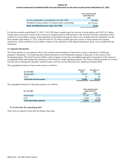#### **Interim Condensed Consolidated IFRS Financial Statements for the three-month period ended March 31, 2022**

|                                                      | Three-month period<br>ended March 31,<br>2021 |
|------------------------------------------------------|-----------------------------------------------|
| Net loss attributable to shareholders (in USD '000)  | (20,004)                                      |
| Weighted average number of common shares outstanding | 68,574,364                                    |
| Basic and diluted loss per share (in USD)            | (0.29)                                        |

For the three-months ended March 31, 2022, 13,412,598 shares issuable upon the exercise of stock-options and 18,821,413 shares issuable upon conversion of notes and/or exercise of warrants issued to JGB pursuant to the Securities Purchase Agreement, which would have an anti-dilutive impact on the calculation of the diluted earnings per share, were excluded from the calculation. For the three-months ended March 31, 2021, 8,956,610 and 516,352 shares issuable upon the exercise of stock-options and warrants, respectively, which would have an anti-dilutive impact on the calculation of the diluted earnings per share, were excluded from the calculation.

#### **12. Segment information**

The Group operates in one segment, which is the research and development of innovative women's reproductive, health and pregnancy therapeutics. The marketing and commercialization of such therapeutics depend, in large part, on the success of the development phase. The Chief Executive Officer of the Company reviews the consolidated statements of operations of the Group on an aggregated basis and manages the operations of the Group as a single operating segment. The Group currently generates no revenue from the sales of therapeutics products, and the Group's activities are not affected by any significant seasonal effect.

The geographical analysis of non-current assets is as follows:

| $(in$ USD '000)                 | March 31,<br>2022 | December 31,<br>2021 |
|---------------------------------|-------------------|----------------------|
| Switzerland                     | 24,787            | 25,385               |
| <b>USA</b>                      | o٢                |                      |
| <b>Total non-current assets</b> | 24,882            | 25,474               |

The geographical analysis of operating expenses is as follows:

| $(in$ USD '000)                 | Three-month period<br>ended March 31, |        |  |
|---------------------------------|---------------------------------------|--------|--|
|                                 | 2022                                  | 2021   |  |
| Switzerland                     | 11,143                                | 18,155 |  |
| <b>USA</b>                      | 1.699                                 | 1,552  |  |
| <b>Total operating expenses</b> | 12,841                                | 19,707 |  |

#### **13. Events after the reporting period**

There were no material events after the balance sheet date.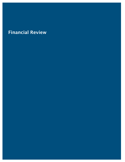## Financial Review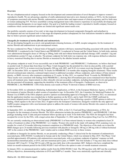#### **Overview**

We are a biopharmaceutical company focused on the development and commercialization of novel therapies to improve women's reproductive health. We are advancing a pipeline of orally-administered innovative new chemical entities, or NCEs, for the treatment of symptoms associated with uterine fibroids, endometriosis, preterm labor and improvement of clinical pregnancy and live birth rates in women undergoing IVF. We have assembled a strong management team with extensive experience in successfully developing and commercializing therapeutics in our target market. Our goal is to build the leading women's reproductive health company focused on conditions where current treatment options are limited and significant unmet needs exist.

Our portfolio currently consists of two mid- to late-stage development in-licensed compounds (linzagolix and nolasiban) in development and one out-licensed mid- to late-stage development product (ebopiprant) for four indications intended to address areas that we believe present significant unmet medical needs:

#### *Linzagolix for treatment of uterine fibroids and endometriosis.*

We are developing linzagolix as a novel, oral gonadotropin releasing hormone, or GnRH, receptor antagonist, for the treatment of uterine fibroids and endometriosis in pre-menopausal women.

We have conducted two Phase 3 clinical trials of linzagolix in patients with heavy menstrual bleeding associated with uterine fibroids, PRIMROSE 1 (conducted in the United States) and PRIMROSE 2 (conducted in Europe and the United States). In both trials, patients were administered linzagolix doses of 100 mg or 200mg, both with and without hormonal add back therapy (ABT; estradiol 1 mg and norethindrone acetate 0.5 mg), or placebo. The primary endpoint for both trials was response rate, with response defined as reduction in heavy menstrual bleeding due to uterine fibroids as measured by the alkaline hematin method.

The primary endpoint at week 24 was successfully met in both PRIMROSE 1 and PRIMROSE 2. Furthermore, we believe that based on pooled week 52 clinical data from these two Phase 3 trials linzagolix has the potential for a best-in-class profile, with a pooled response rate of 89.3% in women receiving linzagolix 200 mg with ABT, and 56.4% in women receiving linzagolix 100 mg without ABT. In December 2020, we reported Week 76 results for PRIMROSE 2 (6 months after stopping linzagolix treatment). These results showed continued pain reduction, continued improvement in additional secondary efficacy endpoints, and evidence of bone mineral density, or BMD, recovery after treatment completion at 52 weeks. In May 2021, we reported Week 76 results for PRIMROSE 1. These results were consistent with findings from PRIMROSE 2, showing that off-treatment pain scores remained lower than baseline across all treatment arms. Improvements in other clinically relevant secondary endpoints, including hemoglobin levels and quality of life also persisted off-treatment, supporting the durability of the treatment effect of linzagolix. Furthermore, as observed in PRIMROSE 2, the PRIMROSE 1 DXA bone density scan results at Week 76 showed evidence of BMD recovery.

In November 2020, we submitted a Marketing Authorization Application, or MAA, to the European Medicines Agency, or EMA, for the treatment of uterine fibroids in adult women of reproductive age. In December 2021, the Committee for Medicinal Products for Human Use (CHMP) of the EMA adopted a positive opinion recommending approval of linzagolix. In February 2022, we announced that the application timeline was extended due to further questions on the MAA, and in April 2022 the CHMP confirmed its previously adopted positive opinion. The European Commission has up to 67 days following a positive CHMP opinion to deliver its finding, which equates to the end of June 2022. If approved by the European Commission, linzagolix would be the only approved GnRH receptor antagonist with a non-hormonal option to address the needs of women with uterine fibroids who cannot or do not want to take hormones

In September 2021, we submitted a New Drug Application, or NDA, to the U.S. Food and Drug Administration, or FDA, for linzagolix for the treatment of uterine fibroids. The NDA submission includes the positive PRIMROSE 1 and PRIMROSE 2 full data package including week 52 data and post treatment follow-up data up to week 76 for both trials. The NDA for linzagolix has been accepted for review by the FDA, with a target action date of September 13, 2022 under the Prescription Drug User Fee Act (PDUFA).

We are currently conducting an observational study (PRIMROSE 3) of bone mineral density in women who completed at least 20 weeks of treatment in either of the PRIMROSE 1 or 2 studies. Women who enroll in the study will undergo DXA scanning every six months for a total of 24 months following treatment completion in a PRIMROSE study. The objectives of the study are to describe BMD changes up to 24 months following previous treatment with placebo or linzagolix 100 mg or 200 mg with or without hormonal ABT in the context of the PRIMROSE 1 and 2 studies and to evaluate BMD recovery in these women.

In addition to linzagolix for uterine fibroids, we are presently conducting a Phase 3 clinical trial for the treatment of endometriosis associated pain, EDELWEISS 3 (conducted in Europe and in the United States), which was initiated in May 2019. This Phase 3 trial enrolled approximately 450 patients with endometriosis associated pain, with a co-primary endpoint of patients' response on both dysmenorrhea (menstrual pain), or DYS, and non-menstrual pelvic pain, or NMPP. This trial includes a 75 mg once daily dose without hormonal ABT (1mg E2 / 0.5mg NETA) and a 200 mg once daily dose with concomitant ABT. Subjects who have completed the initial six-month treatment period for the EDELWEISS 3 trial will have the option to enter a 6-month treatment extension.

In January 2022, we announced positive topline results from the EDELWEISS 3 trial. The 200 mg dose with ABT met the co-primary efficacy objectives, demonstrating reductions in DYS and NMPP at 3 months. There were statistically significant and clinically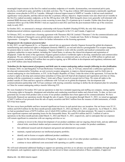meaningful improvements in the first five ranked secondary endpoints at 6 months: dysmenorrhea, non-menstrual pelvic pain, dyschezia, overall pelvic pain, and ability to do daily activities. The 75 mg dose without ABT demonstrated a statistically significant reduction versus placebo in DYS at 3 months. Although it showed improvement in NMPP at 3 months, it did not reach statistical significance versus placebo, and thus did not meet the co-primary efficacy objective. Improvements were also observed at 6 months in the first five ranked secondary endpoints, as for the 200 mg dose with ABT. Both linzagolix doses were generally well-tolerated with minimal BMD decrease and few adverse events occurring in more than 5% of patients up to 6 months. Further data from the posttreatment follow-up of the EDELWEISS 3 trial are expected in mid-2022 and from the post-treatment follow-up of the extension study in early 2023.

In October 2021, we announced a strategic relationship with Syneos Health® (Nasdaq:SYNH), the only fully integrated biopharmaceutical solutions organization, to commercialize linzagolix in the U.S. and Canada, if approved.

In February 2022, we entered into a licensing agreement with Theramex HQ UK Limited ("Theramex") for the commercialization and further development of linzagolix across global markets outside of the U.S., Canada and Asia. Refer to Strategic Licensing Agreements—Linzagolix—Theramex below for further information on the licensing agreement.

#### *Ebopiprant for the treatment of preterm labor*

In July 2021, we and Organon & Co., or Organon, entered into an agreement whereby Organon licensed the global development, manufacturing and commercial rights to ebopiprant (formerly OBE022), an oral and selective prostaglandin F2α receptor antagonist, for preterm labor in weeks 24 to 34 of pregnancy. Organon intends to work with the scientific and medical communities and regulatory authorities in major markets, including the United States, to advance the clinical development and registration of ebopiprant. Under the terms of the agreement, Organon gained exclusive worldwide rights to develop, manufacture and commercialize ebopiprant. We are entitled to receive tiered double-digit royalties on commercial sales as well as up to \$500 million in upfront and milestone payments, including \$25 million that was paid at signing, up to \$90 million in development and regulatory milestones and up to \$385 million sales-based milestones.

#### *Nolasiban for the improvement of pregnancy and birth rates in women undergoing embryo transfer following in-vitro fertilization.*

In January 2020, we and Hangzhou YuYuan BioScience Technology Co., Ltd., or YuYuan, entered into a sublicense agreement to develop and commercialize Nolasiban, an oral oxytocin receptor antagonist, to improve clinical pregnancy and live birth rates in women undergoing in-vitro fertilization, or IVF, in the People's Republic of China. Under the terms of the agreement, YuYuan has the exclusive rights to develop and commercialize nolasiban in China and will fund all development and registration activities in China, starting with the commitment to conduct Phase 1 trials and a Phase 2 proof-of-concept trial in China. We retain all rights to the product outside of China and have agreed to collaborate with YuYuan on its global development. Our development and commercialization partnership with YuYuan continues with steering committee meetings to define the development plan for nolasiban in China for women undergoing embryo transfer following IVF.

We were founded in November 2012 and our operations to date have included organizing and staffing our company, raising capital, in-licensing rights to linzagolix, ebopiprant and nolasiban and conducting nonclinical studies and clinical trials. To date, we have not generated any revenue from product sales as none of our product candidates have been approved for commercialization. We have historically financed our operations mostly through the sale of equity. From inception through March 31, 2022, we raised an aggregate of \$447.2 million of net proceeds from the sale of equity securities and \$64.5 million from the issuance of debt instruments, of which \$25.0 has been repaid.

We have never been profitable and have incurred significant net losses in each period since our inception. Our net losses were \$11.8 million and \$20.0 million for the three-month periods ended March 31, 2022 and March 31, 2021, respectively. As of March 31, 2022, we had accumulated losses of \$479.4 million, out of which \$30.6 million were offset with share premium. We expect to continue to incur significant expenses and operating losses for the foreseeable future. We used \$9.6 million and \$21.3 million of cash in operations in the three-month periods ended March 31, 2022 and March 31, 2021, respectively, and we anticipate that our expenses will remain significant in connection with our ongoing activities as we:

- continue to invest in the clinical development of our product candidates and our ongoing clinical trials, and any additional clinical trials, nonclinical studies and pre-commercial activities that we may conduct for product candidates;
- hire additional research and development and general and administrative personnel;
- maintain, expand and protect our intellectual property portfolio;
- identify and in-license or acquire additional product candidates;
- prepare for the commercialization of linzagolix, if approved, or any of our other product candidates, and
- continue to incur additional costs associated with operating as a public company.

We will need substantial additional funding to support our operating activities as we advance our product candidates through clinical development, seek regulatory approval and prepare for and invest in future commercialization of these candidates, if approved.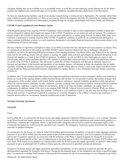Adequate funding may not be available to us on acceptable terms, or at all. We are also exploring various alternatives for the future potential development and commercialization of our product candidates, including through collaborations with third parties.

We have no manufacturing facilities, and all of our product manufacturing is contracted out to third parties. We currently utilize thirdparty contract research organizations, or CROs, to carry out our clinical development and trials. We intend for our commercialization efforts to be largely contracted out to third parties, including through our strategic relationships with Syneos Health and Theramex.

#### **COVID-19 and Geopolitical Events Business Update**

With the global spread of the ongoing COVID-19 pandemic which continues to date, we have implemented a number of plans and policies designed to address and mitigate the impact of the COVID-19 pandemic on our employees and our business. We continue to closely monitor the COVID-19 situation and will evolve our plans and policies as needed going forward. In March 2020, some of our workforce transitioned to working remotely. If the COVID-19 pandemic continues to persist for an extended period and begins to impact essential distribution systems, we could experience disruptions to our supply chain and operations, and associated delays in the manufacturing of clinical trial supply.

We may continue to experience a disruption or delay in our ability to initiate trial sites and enroll and assess patients. In January 2021, we announced our decision to discontinue our EDELWEISS 2 and its extension clinical trial, due to challenges with patient enrollment, as well as the persisting difficult environment of the ongoing pandemic. Enrollment delays may further occur for ongoing trials, and we are working closely with our vendors to manage our supply chain activities and mitigate any potential disruptions to our clinical trial supplies as a result of the COVID-19 pandemic. In addition, we rely on CROs or other third parties to assist us with clinical trials, and we cannot guarantee that they will continue to perform their contractual duties in a timely and satisfactory manner as a result of the COVID-19 pandemic. The full extent to which the COVID-19 pandemic will directly or indirectly impact our business and operations, or the business and operations of our strategic partners, will depend on future developments that are highly uncertain, including the duration and spread of the pandemic, and the actions taken to contain it, such as the impact and effectiveness of current and any future governmental measures implemented in response thereto, or new information that may emerge concerning COVID-19.

In addition, the U.S. government and other nations have imposed significant restrictions on most companies' ability to do business in Russia as a result of the ongoing military conflict between Russia and Ukraine. It is not possible to predict the broader or longer-term consequences of this conflict, which could include further sanctions, embargoes, regional instability, geopolitical shifts and adverse effects on macroeconomic conditions, security conditions, currency exchange rates and financial markets. Such geopolitical instability and uncertainty could have a negative impact on our business, ability to develop our product candidates, our supply chain or our collaborators. In addition, certain of the sites in our ongoing EDELWEISS 3 clinical trial are located in Ukraine. While our clinical trial sites in Ukraine continue to manage their patients, if political or civil conditions require it, our sites may need to delay or suspend clinical trial activities. A significant escalation or expansion of economic disruption or the conflict's current scope could have a material adverse effect on our business, financial condition and results of operations.

#### **Strategic Licensing Agreements**

#### *Linzagolix*

#### *Kissei*

In November 2015, we entered into the Kissei license and supply agreement with Kissei Pharmaceutical Co., Ltd., or Kissei. Pursuant to the Kissei license and supply agreement we received an exclusive license to develop, manufacture and commercialize products, or the Product, containing the compounds which is a specified GnRH antagonist and covered by certain licensed patent rights, or the Compound, throughout the world except for specified Asian countries. We arranged to exclusively acquire from Kissei the material necessary to produce linzagolix.

In consideration for the license, we made an initial \$10.0 million upfront payment. In addition, we agreed to make aggregate milestone payments of up to \$63.0 million upon the achievement of specified developmental milestones, such as the initiation of clinical trials and receipt of regulatory approvals. In connection with the initiations of the Phase 3 clinical programs for linzagolix in (i) uterine fibroids in the second quarter of 2017 and (ii) endometriosis in the third quarter of 2019, two milestone payments of \$5.0 million each were made. With respect to any products we commercialize under the Kissei license and supply agreement, we agreed to make further payments of up to an additional \$125.0 million to Kissei upon the achievement of specified commercial milestones.

Pursuant to the Kissei license and supply agreement, and related amendments, we have agreed to exclusively purchase the active pharmaceutical ingredient for linzagolix from Kissei. During the development stage, we are obligated to pay Kissei a specified supply price. For territories excluding North America, following the first commercial sale of licensed product, we are obligated to pay Kissei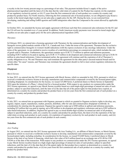a royalty in the low twenty percent range as a percentage of net sales. This payment includes Kissei's supply of the active pharmaceutical ingredient until the latest of (i) the date that the valid claim of a patent for the Product has expired, (ii) the expiration of our regulatory exclusivity period, or (iii) 15 years from the first commercial sale of such product on a country-by-country and product-by-product basis. For North America, following the first commercial sale of licensed product, we are obligated to pay Kissei a royalty in the tiered single digit royalties on net sales plus a supply price for the API. During the term, we are restricted from developing, marketing and selling GnRH agonists and GnRH antagonists other than the Compound to the extent allowed by applicable laws.

In October 2021, we amended the license and supply agreement with Kissei such that first commercial sales milestones for the EU and the US will now be extended over a 5-year period. In addition, North American royalty payments were lowered to tiered single digit royalties on net sales plus a supply price for the active pharmaceutical ingredient (API).

#### *Theramex*

In February 2022, we entered into a licensing agreement with Theramex for the commercialization and further development of linzagolix across global markets outside of the U.S., Canada and Asia. Under the terms of the agreement, Theramex has the exclusive right to commercialize linzagolix in women's health indications (with the express exclusion of any oncology indications). Under the terms of the agreement, we are entitled to receive royalties of a mid-thirties percentage on commercial sales, which includes the cost of goods sold to Theramex. Furthermore, the agreement contains up to EUR 72.75 million in upfront and milestone payments, including EUR 5 million to be paid at signing, up to EUR 13.75 million in development and commercial milestones and up to EUR 54 million in sales-based milestones. Unless terminated earlier, the agreement will continue until the expiration of all of Theramex's royalty obligations to us. We and Theramex may each terminate the agreement for the other party's uncured material breach and for certain other "for cause" reasons, and Theramex may terminate the agreement should we fail to meet certain regulatory milestones by specific dates.

#### *Ebopiprant*

#### *Merck Serono*

In June 2015, we entered into the 2015 license agreement with Merck Serono, which we amended in July 2016, pursuant to which we received a worldwide exclusive license to develop, manufacture and commercialize compounds covered by the licensed patent rights, including ebopiprant. In consideration for the license, we issued 325,000 Series A preferred shares to Merck Serono in September 2016 upon the initiation of a Phase 1 clinical trial for a licensed product. With respect to any products we commercialize under the 2015 license agreement, we agreed to pay Merck Serono royalties based on a mid-single-digit percentage of annual net sales of each product, subject to specified reductions, until the later of (i) the date that all of the patent rights for that product have expired, as determined on a country-by-country and product-by-product basis or (ii) ten years from the first commercial sale of such product on a country-by-country and product-by-product basis.

#### *Organon*

In July 2021, we entered into an agreement with Organon, pursuant to which we granted to Organon exclusive rights to develop, use, register, import, export, manufacture, market, promote, distribute, offer for sale and commercialize ebopiprant worldwide. In consideration for entering into the agreement, Organon has agreed to make up to \$500 million in upfront and milestone payments, including \$25 million that was paid at signing, up to \$90 million in development and regulatory milestones and up to \$385 million in sales-based milestones. In addition, Organon has agreed to pay us tiered double-digit royalties on annual net sales of all products, subject to specified reductions, until, on a country-by-country and product-by-product basis, the latest of (i) the expiration of the last valid claim covering such product in such country, (ii) expiration of regulatory exclusivity for such product in such country, and (iii) ten years from the first commercial sale of such product in such country.

#### *Nolasiban*

#### *Ares Trading*

In August 2013, we entered into the 2013 license agreement with Ares Trading S.A., an affiliate of Merck Serono, or Merck Serono, pursuant to which we received a worldwide exclusive license to develop, manufacture and commercialize compounds covered by the licensed patent rights, including nolasiban. In consideration for the license, we issued 914,069 Series A preferred shares to Merck Serono at the time of our Series A financing, which had a fair-value of \$4.9 million based on an exchange rate of \$1.00 for CHF 0.9244 as of the date of the transaction. With respect to any products we commercialize under the 2013 license agreement, we agreed to pay Merck Serono royalties based on a high-single-digit percentage of annual net sales of each product, subject to specified reductions, until the later of (i) the date that all of the patent rights for that product have expired, as determined on a country-bycountry and product-by-product basis, or (ii) ten years from the first commercial sale of such product on a country-by-country and product-by-product basis.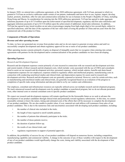#### *YuYuan*

In January 2020, we entered into a sublicense agreement, or the 2020 sublicense agreement, with YuYuan, pursuant to which we granted to YuYuan an exclusive sublicense under certain of our patents, trademarks and know-how to use, register, import, develop, market, promote, distribute, offer for sale and commercialize nolasiban for use in humans in the People's Republic of China, including Hong Kong and Macau. In consideration for entering into the 2020 sublicense agreement, YuYuan has agreed to make aggregate milestone payments of up to \$17.0 million upon the achievement of specified development, regulatory and first sales milestones and aggregate milestone payments of up to \$115.0 million upon the achievement of additional, tiered sales milestones. In addition, YuYuan has agreed to pay tiered royalties on net sales at percentages ranging from high-single digit to low-second digits, subject to specified reductions, until the later of the expiration of the last valid claim covering the product in China and ten years from the first commercial sale of the product in China.

#### **Components of Results of Operations**

#### *Revenue and other operating income*

To date, we have not generated any revenue from product sales and we do not expect to generate revenue unless and until we successfully complete development and obtain regulatory approval for one or more of our product candidates.

Other operating income consists primarily of gains on disposal of intangible assets that we recognize when entering into certain agreements with partners for the development and/or commercialization of the product candidates we have been developing.

#### *Operating Expenses*

#### *Research and Development Expenses*

Research and development expenses consist primarily of costs incurred in connection with our research and development activities and consist mainly of direct research and development costs, which include: costs associated with the use of CROs and consultants hired to assist on our research and development activities; personnel expenses, which include salaries, benefits and share-based compensation expenses for our employees; expenses related to regulatory affairs and intellectual property; manufacturing costs in connection with conducting nonclinical studies and clinical trials; and depreciation expense for assets used in research and development activities. Research and development costs are generally expensed as incurred. However, costs for certain activities, such as manufacturing and nonclinical studies and clinical trials, are generally recognized based on an evaluation of the progress to completion of specific tasks using information and data provided to us by our vendors and collaborators.

Our employee, consultant and infrastructure resources are typically utilized across our multiple research and development programs. We track outsourced research and development costs by product candidate or nonclinical program, but we do not allocate personnel costs, other internal costs or external consultant costs to specific product candidates.

We expect our research and development expenses will remain significant for the foreseeable future as we seek to advance the development of our product candidates through clinical trials and potentially toward regulatory submissions. At this time, we cannot reasonably estimate or know the nature, timing and estimated costs of the efforts that will be necessary to complete the development of our product candidates. We are also unable to predict when, if ever, material net cash inflows will commence from sales of our product candidates. This is due to the numerous risks and uncertainties associated with developing such product candidates, including:

- the number of clinical sites included in the trials;
- the length of time required to enroll suitable patients;
- the number of patients that ultimately participate in the trials;
- the number of doses patients receive;
- the duration of patient follow-up;
- the results of our clinical trials; and
- regulatory requirements in support of potential approvals.

In addition, the probability of success for any of our product candidates will depend on numerous factors, including competition, manufacturing capability and commercial viability. A change in the outcome of any of these variables with respect to the development of any of our product candidates would significantly change the costs, timing and viability associated with the development of that product candidate.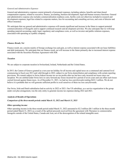#### *General and Administrative Expenses*

General and administrative expenses consist primarily of personnel expenses, including salaries, benefits and share-based compensation expense, related to executive, finance, accounting, business development, legal and human resource functions. General and administrative expense also includes commercialization readiness costs, facility costs not otherwise included in research and development expenses, legal fees related to corporate matters, fees for accounting and consulting services, and costs of director and officer insurance.

We anticipate that our general and administrative expenses will remain significant and increase in the future to support potential commercialization of linzagolix and to support continued research and development activities. We also anticipate that we will keep spending material accounting, audit, legal, regulatory and compliance costs, as well as investor and public relations expenses, associated with operating as a public company.

#### *Finance Result, Net*

Finance result, net, consists mainly of foreign exchange loss and gain, as well as interest expense associated with our lease liabilities and debt instruments. We anticipate that our finance result, net will increase in the future primarily due to increased interest expense associated with the Securities Purchase Agreement with JGB.

#### *Taxation*

We are subject to corporate taxation in Switzerland, Ireland, Netherlands and the United States.

In 2015, the Canton of Geneva granted us a ten-year tax holiday for all income and capital taxes on a communal and cantonal level commencing in fiscal year 2013 and valid through to 2022, subject to our Swiss domiciliation and compliance with certain reporting provisions. We remain subject to Swiss federal income tax on our profits after tax but have only incurred net losses since our inception. We are entitled under Swiss laws to carry forward any losses incurred for a period of seven years and can offset such losses carried forward against future taxes. As of December 31, 2021, we had tax loss carryforwards totaling \$422.1 million. We do not believe it is probable that we will generate sufficient profits to avail ourselves of these tax loss carryforwards.

Our Swiss, Irish and Dutch subsidiaries had no activity in 2022 or 2021. Our US subsidiary, as a service organization to the group under cost plus arrangement, was the only entity to generate income tax expenses during 2022 and 2021.

#### **Analysis of Results of Operations**

#### *Comparison of the three-month periods ended March 31, 2022 and March 31, 2021*

#### *Other operating income*

Other operating income in the three-month period ended March 31, 2022 amounted to \$2.2 million (\$0.1 million in the three-month period ended March 31, 2021) as a result of the upfront proceeds received from the agreement with Theramex to commercialize linzagolix outside of the United States, Canada and Asia, net of the derecognition of the related intangible asset.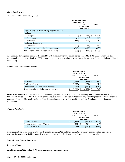#### *Operating Expenses*

#### *Research and Development Expenses*

|                                                           | Three-month period<br>ended March 31, |                                       |        |  |
|-----------------------------------------------------------|---------------------------------------|---------------------------------------|--------|--|
|                                                           | 2022                                  | 2021<br>(in thousands)<br>(unaudited) | Change |  |
| Research and development expenses by product<br>candidate |                                       |                                       |        |  |
| Linzagolix                                                | \$<br>$(1,970)$ \$                    | $(11,466)$ \$                         | 9,496  |  |
| Ebopiprant                                                | (4)                                   | (494)                                 | 490    |  |
| Nolasiban                                                 | (85)                                  | (99)                                  | 14     |  |
| Unallocated expenses                                      |                                       |                                       |        |  |
| Staff costs                                               | (2,709)                               | (3,046)                               | 337    |  |
| Other research and development costs                      | (840)                                 | (410)                                 | (430)  |  |
| Total research and development expenses                   | (5,608)                               | (15,516)                              | 9,908  |  |

Research and development expenses decreased by \$9.9 million in the three-month period ended March 31, 2022 compared to the three-month period ended March 31, 2021, primarily due to lower expenditures in our linzagolix programs due to the timing of clinical trial activity.

#### *General and Administrative Expenses*

|                                           | Three-month period<br>ended March 31, |         |                               |         |
|-------------------------------------------|---------------------------------------|---------|-------------------------------|---------|
|                                           |                                       | 2022    | 2021                          | Change  |
|                                           |                                       |         | (in thousands)<br>(unaudited) |         |
| Staff costs                               | S                                     | (2.347) | $(2,531)$ \$                  | 184     |
| Professional fees                         |                                       | (3,835) | (1,021)                       | (2,814) |
| Other general and administrative costs    |                                       | (1.051) | (639)                         | (412)   |
| Total general and administrative expenses |                                       |         | (4,191)                       | (3,042) |

General and administrative expenses in the three-month period ended March 31, 2022 increased by \$3.0 million compared to the three-month period ended March 31, 2021, primarily due to increased professional fees resulting from the preparation for the expected commercialization of linzagolix and related regulatory submissions, as well as legal fees resulting from licensing and financing transactions.

#### *Finance Result, Net*

|                                | Three-month period<br>ended March 31, |          |                               |        |  |
|--------------------------------|---------------------------------------|----------|-------------------------------|--------|--|
|                                |                                       | 2022     | 2021                          | Change |  |
|                                |                                       |          | (in thousands)<br>(unaudited) |        |  |
| Interest expense               |                                       | (1, 448) | $(672)$ \$                    | (776)  |  |
| Foreign exchange gain / (loss) |                                       | 304      | 390                           | (86)   |  |
| Finance result, net            |                                       |          |                               | (863)  |  |

Finance result, net in the three-month periods ended March 31, 2022 and March 31, 2021 primarily consisted of interest expense associated with our lease liabilities and debt instruments, as well as foreign exchange loss and gain, respectively.

#### **Liquidity and Capital Resources**

#### **Sources of Funds**

As of March 31, 2022, we had \$57.6 million in cash and cash equivalents.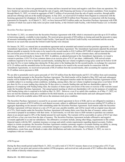Since our inception, we have not generated any revenue and have incurred net losses and negative cash flows from our operations. We have funded our operations primarily through the sale of equity, debt financing and license of our product candidates. From inception through March 31, 2022, we raised an aggregate of \$447.2 million of net proceeds from the sale of equity securities, through public and private offerings and our at-the-market programs. In July 2021, we received \$25.0 million from Organon in connection with the licensing agreement for ebopiprant. In February 2022, we received EUR5.0 million from Theramex in connection with the licensing agreement for linzagolix. As of March 31, 2022, we have borrowed \$42.0 million under our Securities Purchase Agreement with JGB, a portion of which was used to fully retire our prior credit facility, or the Oxford Credit Facility, with Oxford Finance LLC in October 2021.

#### *Securities Purchase Agreement*

On October 12, 2021, we entered into the Securities Purchase Agreement with JGB, which is structured to provide up to \$135 million in borrowing capacity, available in nine tranches. We received gross proceeds of \$30 million at closing and used the proceeds to repay all amounts outstanding under the Oxford Credit Facility. Upon payoff, the Oxford Credit Facility was terminated and the security interests in our assets that secured the Oxford Credit Facility were released.

On January 28, 2022, we entered into an amendment agreement and an amended and restated securities purchase agreement, or the Amendment Agreements, with JGB to amend the Securities Purchase Agreement. The Amendment Agreements adjusted the principal balance payable at maturity for the notes to be issued in the second tranche to \$10.5 million (\$975,000 of original issue discount) and the conversion price for the notes to be issued in the second tranche to a price of \$1.66 per common share, and accelerated the issuance of the second tranche to January 28, 2022. In addition, as adjusted pursuant to the Amendment Agreements, we issued a warrant to purchase 1,018,716 of our common shares at an exercise price of \$1.87 per share. Additionally, JGB waived certain conditions required to be met to fund the second tranche, including that our volume-weighted average price could not be below \$3.00 per share for five or more trading days during the 30 days prior to the funding date for the second tranche, in exchange for a payment of \$1.25 million and the amended terms for the notes and warrants to be issued in the second tranche In connection with the Amendment Agreements, we received net proceeds of \$8.25 million from the second tranche, after accounting for expenses and the \$1.25 million waiver payment to JGB.

We are able to potentially receive gross proceeds of \$16.725 million from the third tranche and \$13.125 million from each remaining tranche thereafter pursuant to the Securities Purchase Agreement. The third tranche will be funded in May 2022 and each subsequent tranche will be funded 90 days after the preceding tranche. The subsequent tranches under the Securities Purchase Agreement will be available subject to us meeting certain conditions, including, among others, that our volume-weighted average price is not below \$3.00 per share for five or more trading days during the 30 days prior to a tranche funding date and that our shareholders approve, for purposes of complying with Nasdaq listing rules, the issuance of shares upon conversion of the notes or exercise of the warrants issued under the Securities Purchase Agreement. Our annual general meeting at which our shareholders will vote for purposes of complying with Nasdaq listing rules is expected to be held on May 18, 2022. However, even if we satisfy this condition, as of May 17, 2022, we have not met the minimum stock price condition for the third tranche; as a result, the third tranche and each subsequent tranche thereafter will not be available unless JGB waives the minimum stock price condition.

The Securities Purchase Agreement is secured by an account control agreement in favor of JGB, and we are obligated to maintain a minimum cash amount of \$25.0 million in such deposit account, subject to additional incremental increases totaling \$27.0 million in aggregate depending on the amount of debt outstanding under the Securities Purchase Agreement. Each tranche under the Securities Purchase Agreement will bear interest at a rate of 9.5% per year, payable monthly, and will be issued with an original issue discount of 4.75%. Each tranche under the Securities Purchase Agreement will mature three years from the date of issuance, unless earlier converted or prepaid in accordance with their terms. At each tranche, we will also issue to JGB warrants to purchase our common shares in an amount equal to 20% of the funded amount for such tranche. The warrants will be exercisable at a price of \$3.67 per share and will have a four year term from the date of issuance. The Securities Purchase Agreement includes affirmative and negative covenants applicable to us and our subsidiaries. The affirmative covenants include, among other things, requirements to file certain financial reports with the SEC, maintain insurance coverage and satisfy certain requirements regarding deposit accounts. Further, subject to certain exceptions, the Securities Purchase Agreement contains customary negative covenants limiting our ability to, among other things, transfer or sell certain assets, consummate mergers or acquisitions, allow changes in business, incur additional indebtedness, create liens, pay dividends or make other distributions and make investments. As of March 31, 2022, we were in compliance with our covenants.

#### *ATM Program*

During the three-month period ended March 31, 2022, we sold a total of 3,743,911 treasury shares at an average price of \$1.51 per share, as part of our prior and current at-the-market (ATM) programs, and received net cash proceeds of \$5.5 million after deducting \$0.2 million of directly-related issuance costs.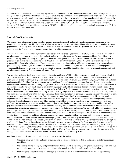#### *License Agreements*

In February 2022, we entered into a licensing agreement with Theramex for the commercialization and further development of linzagolix across global markets outside of the U.S., Canada and Asia. Under the terms of the agreement, Theramex has the exclusive right to commercialize linzagolix in women's health indications (with the express exclusion of any oncology indications). Under the terms of the agreement, we are entitled to receive royalties of a mid-thirties percentage on commercial sales, which includes the cost of goods sold to Theramex. Furthermore, the agreement contains up to EUR72.75 million in upfront and milestone payments, including EUR5 million to be paid at signing, up to EUR13.75 million in development and commercial milestones and up to EUR54 million in sales-based milestones.

#### **Material Cash Requirements**

Our primary uses of cash are to fund operating expenses, primarily research and development expenditures. Cash used to fund operating expenses is impacted by the timing of when we pay these expenses, as reflected in the change in our outstanding accounts payable and accrued expenses. As of March 31, 2022, other than our Securities Purchase Agreement with JGB, we have no other ongoing material financing commitments, such as lines of credits or guarantees.

We expect our expenses to remain significant in connection with our ongoing activities, particularly as we continue the research and development of, continue or initiate clinical trials of, and seek marketing approval for, our product candidates. In addition, if we obtain marketing approval for any of our product candidates, we expect to incur significant commercialization expenses related to program sales, marketing, manufacturing and distribution to the extent that such sales, marketing and distribution are not the responsibility of potential collaborators. Furthermore, we expect to continue to incur additional costs associated with operating as a public company. Accordingly, we will need to obtain substantial additional funding in connection with our continuing operations. If we are unable to raise capital when needed or on attractive terms, we could be forced to delay, reduce or eliminate our research and development programs or future commercialization efforts.

We have incurred recurring losses since inception, including net losses of \$11.8 million for the three-month period ended March 31, 2022. As of March 31, 2022, we had accumulated losses of \$479.6 million, out of which \$30.6 million were offset with share premium. We expect to continue to generate operating losses for the foreseeable future. As of March 31, 2022, we had cash and cash equivalents of \$57.6 million. We have prepared our consolidated financial statements assuming that we will continue as a going concern which contemplates the continuity of operations, realization of assets and the satisfaction of liabilities in the ordinary course of business. To date, we have funded our operations through equity and debt offerings and through payments from licensors. We believe that our current cash and cash equivalents are only sufficient to fund our operating expenses into the fourth quarter of 2022 and this raises substantial doubt about our ability to continue as a going concern. These factors individually and collectively indicate that a material uncertainty exists that may cast significant doubt about our ability to continue as a going concern within one year from the date of the issuance of the consolidated financial statements. Our future viability is dependent on our ability to raise additional capital to finance our future operations. We have an active ATM program and can potentially raise funds through equity or debt offerings. The sale of additional equity may dilute existing shareholders and newly issued shares may contain senior rights and preferences compared to currently outstanding common shares. Issued debt securities may contain covenants and limit our ability to pay dividends or make other distributions to shareholders. We may receive future milestone payments from licensors but that is dependent on achieving certain regulatory or commercial milestones that may never happen. We may seek additional funding through public or private financings, debt financing or collaboration agreements. The inability to obtain funding, as and when needed, would have a negative impact on our financial condition and ability to pursue our business strategies. If we are unable to obtain the required funding to run our operations and to develop and commercialize our product candidates, we could be forced to delay, reduce or eliminate some or all of our research and development programs, product portfolio expansion or commercialization efforts, which could adversely affect our business prospects, or we may be unable to continue operations. Management continues to explore options to obtain additional funding, including through collaborations with third parties related to the future potential development and/or commercialization of our product candidates. However, there is no assurance that we will be successful in raising funds, closing a collaboration agreement, obtaining sufficient funding on terms acceptable to us, or if at all, which could have a material adverse effect on our business, results of operations and financial conditions. We have based these estimates on assumptions that may prove to be wrong, and we could exhaust our available capital resources sooner than we currently expect.

Our future material cash requirements will depend on many factors, including:

- the scope, progress, results and costs of our ongoing and planned nonclinical studies and clinical trials for our product candidates;
- the cost and timing of ongoing and planned manufacturing activities including active pharmaceutical ingredient and drug product pharmaceutical development and clinical trial supplies production for linzagolix and nolasiban;
- the timing and amount of milestone and royalty payments we are required to make under our license agreements;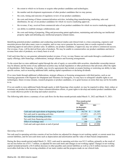- the extent to which we in-license or acquire other product candidates and technologies;
- the number and development requirements of other product candidates that we may pursue;
- the costs, timing and outcome of regulatory review of our product candidates;
- the costs and timing of future commercialization activities, including drug manufacturing, marketing, sales and distribution, for any of our product candidates for which we receive marketing approval;
- the revenue, if any, received from commercial sales of our product candidates for which we receive marketing approval;
- our ability to establish strategic collaborations; and
- the costs and timing of preparing, filing and prosecuting patent applications, maintaining and enforcing our intellectual property rights and defending any intellectual property-related claims.

Identifying potential product candidates and conducting nonclinical studies and clinical trials is a time-consuming, expensive and uncertain process that takes many years to complete, and we may never generate the necessary data or results required to obtain marketing approval and achieve product sales. In addition, our product candidates, if approved, may not achieve commercial success. Our revenue, if any, will be derived from sales of products. We may be unable to commercialize our product candidates and derive revenue from sales of products, on a timely basis or at all.

Until such time that we can generate substantial product revenue, if ever, we may finance our cash needs through a combination of equity offerings, debt financings, collaborations, strategic alliances and licensing arrangements.

To the extent that we raise additional capital through the sale of equity or convertible debt securities, shareholder ownership interest may be diluted, and the terms of any additional securities may include liquidation or other preferences that adversely affect the rights of shareholders. Debt financing, if available, may involve agreements that include covenants limiting or restricting our ability to take specific actions, such as incurring additional debt, making capital expenditures or declaring dividends.

If we raise funds through additional collaborations, strategic alliances or licensing arrangements with third parties, such as our licensing agreements with Organon for ebopiprant and Theramex for linzagolix, we may have to relinquish valuable rights to our technologies, future revenue streams, research programs or product candidates, or to grant licenses on terms that may not be favorable to us.

If we are unable to raise additional funds through equity or debt financings when needed, we may be required to delay, limit, reduce or terminate our product development or future commercialization efforts, or grant rights to develop and market product candidates that we would otherwise prefer to develop and market ourselves.

The following table shows a summary of our cash flows for the three-month periods ended March 31, 2022 and March 31, 2021:

|                                                  | Three-month period<br>ended March 31, |                                       |    |           |
|--------------------------------------------------|---------------------------------------|---------------------------------------|----|-----------|
|                                                  |                                       | 2022<br>(in thousands)<br>(unaudited) |    | 2021      |
| Cash and cash equivalents at beginning of period | S                                     | 54,734                                | -S | 31,183    |
| Net cash used in operating activities            |                                       | (15,251)                              |    | (21, 335) |
| Net cash from investing activities               |                                       | 5,687                                 |    | (4)       |
| Net cash from financing activities               |                                       | 12,194                                |    | 58,370    |
| Effect of exchange rates                         |                                       | 189                                   |    | (216)     |
| Cash and cash equivalents at end of period       |                                       | 57,553                                |    | 67,998    |

#### *Operating Activities*

Net cash used in operating activities consists of net loss before tax adjusted for changes in net working capital, or current assets less current liabilities, and for non-cash items such as depreciation and amortization and the value of share-based compensation.

During the three-month period ended March 31, 2022, cash used in operating activities was \$15.3 million, primarily as the result of our net loss before tax of \$11.7 million, as adjusted for non-cash items and changes in net working capital. Changes in net working capital included primarily a \$4.4 million decrease in other payables and current liabilities as well as a \$2.6 million increase in other receivables both due to the invoicing schedules of our main vendors and the progress made on our clinical trials.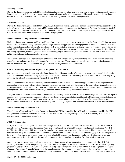#### *Investing Activities*

During the three-month period ended March 31, 2022, net cash from investing activities consisted primarily of the proceeds from our license agreement with Theramex to support the commercialization and market introduction of linzagolix across global markets outside of the U.S., Canada and Asia that resulted in the derecognition of the related intangible asset.

#### *Financing Activities*

During the three-month period ended March 31, 2022, net cash from financing activities consisted primarily of the proceeds from the sales of treasury shares under our current ATM program and the second tranche under the Securities Purchase Agreement with JGB. For the three-month period ended March 31, 2021, net cash from financing activities consisted primarily of the proceeds from the sales of treasury shares under our prior and current ATM programs.

#### **Main Contractual Obligations and Commitments**

Under our license agreements with Kissei and Merck Serono, we may be required to pay royalties in the future. In addition, pursuant to the Kissei license and supply agreement, we have agreed to make aggregate milestone payments of up to \$63.0 million upon the achievement of specified developmental milestones, such as the initiation of clinical trials and receipt of regulatory approvals, out of which \$10.0 million were already paid as of March 31, 2022. With respect to any product we commercialize under the Kissei license and supply agreement, we have agreed to make additional aggregate milestone payments of up to \$125.0 million to Kissei upon the achievement of specified commercial milestones.

We enter into contracts in the normal course of business with clinical research organizations for clinical trials, nonclinical studies, manufacturing and other services and products for operating purposes. These contracts generally provide for termination upon notice, and we believe that our non-cancelable obligations under these agreements are not material.

#### **Critical Accounting Policies and Significant Judgments and Estimates**

Our management's discussion and analysis of our financial condition and results of operations is based on our consolidated interim financial statements, which we have prepared in accordance with International Accounting Standard 34 Interim Financial Reporting as issued by the International Accounting Standards Board (IASB).

With the exception of the recent accounting pronouncements described below, the accounting policies used in the preparation and presentation of these consolidated interim financial statements are consistent with those used in the consolidated financial statements for the year ended December 31, 2021, which should be read in conjunction with these consolidated interim financial statements and management's discussion and analysis as they provide an update of previously reported information.

The preparation of our consolidated interim financial statements requires us to make estimates and assumptions that affect the reported amounts of revenues, expenses, assets, liabilities and disclosure of contingent liabilities at the date of the interim financial statements. We base our estimates and assumptions on historical experience and other factors that we believe to be reasonable under the circumstances. We evaluate our estimates and assumptions on an ongoing basis. Our actual results may differ from these estimates.

#### **Recent Accounting Pronouncements**

The adoption of International Financial Reporting Standards (IFRS) as issued by the IASB and interpretations issued by the IFRS interpretations committee that are effective for the first time for the financial year beginning on or after January 1, 2022 had no material impact on our financial position.

#### **JOBS Act Exemption**

In April 2012, the U.S. Jumpstart Our Business Startups Act of 2012, or the JOBS Act, was enacted. Section 107 of the JOBS Act provides that an "emerging growth company" can take advantage of the extended transition period provided in Section 7(a)(2)(B) of the U.S. Securities Act of 1933, as amended for complying with new or revised accounting standards. Thus, an emerging growth company can delay the adoption of certain accounting standards until those standards would otherwise apply to private companies. We have irrevocably elected not to avail ourselves of this extended transition period and, as a result, we will adopt new or revised accounting standards on the relevant dates on which adoption of such standards is required for other public companies.

As an emerging growth company, subject to certain conditions, we are relying on certain of exemptions under the JOBS Act, including without limitation, (1) providing an auditor's attestation report on our system of internal controls over financial reporting pursuant to Section 404(b) of the Sarbanes-Oxley Act and (2) complying with any requirement that may be adopted by the Public Company Accounting Oversight Board regarding mandatory audit firm rotation or a supplement to the auditor's report providing additional information about the audit and the financial statements, known as the auditor discussion and analysis. We will remain an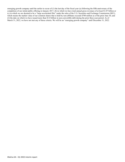emerging growth company until the earlier to occur of (1) the last day of the fiscal year (a) following the fifth anniversary of the completion of our initial public offering in January 2017, (b) in which we have total annual gross revenues of at least \$1.07 billion or (c) in which we are deemed to be a "large accelerated filer" under the rules of the U.S. Securities and Exchange Commission (SEC), which means the market value of our common shares that is held by non-affiliates exceeds \$700 million as of the prior June 30, and (2) the date on which we have issued more than \$1.0 billion in non-convertible debt during the prior three-year period. As of March 31, 2022, we have not met any of these criteria. We will be an "emerging growth company" until December 31, 2022.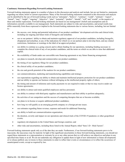#### **Cautionary Statement Regarding Forward-Looking Statements**

Forward-looking statements appear in a number of places in this discussion and analysis and include, but are not limited to, statements regarding our intent, belief or current expectations. Many of the forward-looking statements contained in this discussion and analysis can be identified by the use of forward-looking words such as "anticipate", "believe", "continue", "could", "estimate", "expect", "intend", "may", "might", "ongoing", "objective", "plan", "potential", "predict", "should", "will" and "would", or the negative of these and similar expressions. Forward-looking statements are based on our management's beliefs and assumptions and on information currently available to our management. Such statements are subject to risks and uncertainties, and actual results may differ materially from those expressed or implied in the forward-looking statements due to various factors, including, but not limited to :

- the success, cost, timing and potential indications of our product candidates' development activities and clinical trials, including our ongoing and future trials of linzagolix and nolasiban;
- our or our partners' ability to obtain and maintain regulatory approval of our product candidates, including linzagolix, ebopiprant and nolasiban, in any of the indications for which we or our partners plan to develop them, and any related restrictions, limitations or warnings in the label of an approved product;
- our ability to continue as a going concern and to obtain funding for our operations, including funding necessary to complete the clinical trials of any of our product candidates, and the terms on which we are able to raise that additional capital;
- the availability of funds under our convertible note financing agreement or any future financing arrangement;
- our plans to research, develop and commercialize our product candidates;
- the timing of our regulatory filings for our product candidates;
- the clinical utility of our product candidates;
- the size and growth potential of the markets for our product candidates;
- our commercialization, marketing and manufacturing capabilities and strategy;
- our expectations regarding our ability to obtain and maintain intellectual property protection for our product candidates and our ability to operate our business without infringing on the intellectual property rights of others;
- the timing and amount of milestone and royalty payments we are required to make or that we may receive under our license agreements;
- our ability to attract and retain qualified employees and key personnel;
- our ability to contract with third-party suppliers and manufacturers and their ability to perform adequately;
- the activities of our competitors and the success of competing therapies that are or become available;
- our plans to in-license or acquire additional product candidates;
- how long we will qualify as an emerging growth company or a foreign private issuer;
- our estimates regarding future revenue, expenses and needs for additional financing;
- our ability to build our commercialization organization;
- the duration, severity and impact on our operations and clinical trials of the COVID-19 pandemic or other geopolitical events;
- regulatory developments in the United States and foreign countries; and
- other risks and uncertainties, including those listed in the Annual Report, titled "Item 3.D—Risk Factors".

Forward-looking statements speak only as of the date they are made. Furthermore, if our forward-looking statements prove to be inaccurate, the inaccuracy may be material. In light of the significant uncertainties in these forward-looking statements, you should not regard these statements as a representation or warranty by us or any other person that we will achieve our objectives and plans in any specified time frame or at all. We do not undertake any obligation to update them in light of new information or future developments or to release publicly any revisions to these statements in order to reflect later events or circumstances or to reflect the occurrence of unanticipated events, except as required by law.